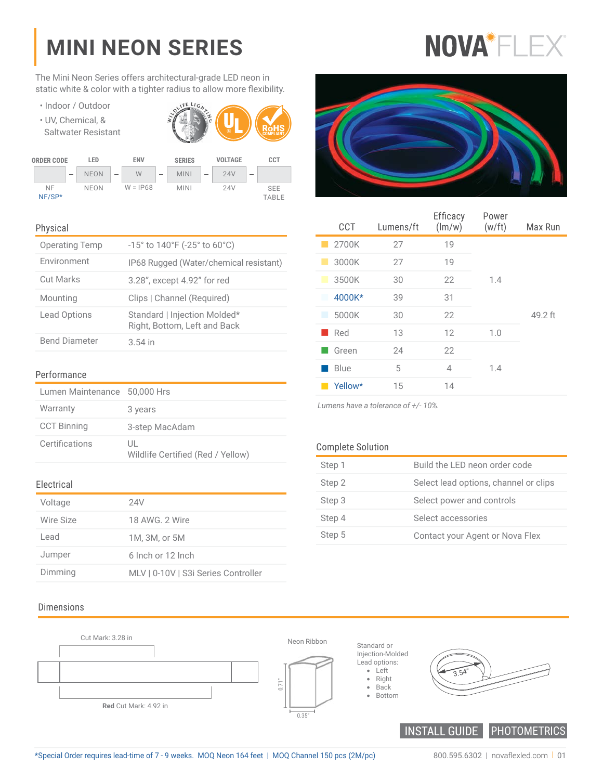## **MINI NEON SERIES**

The Mini Neon Series offers architectural-grade LED neon in static white & color with a tighter radius to allow more flexibility.

- Indoor / Outdoor
- UV, Chemical, & Saltwater Resistant





#### Physical

| <b>Operating Temp</b> | $-15^{\circ}$ to $140^{\circ}$ F ( $-25^{\circ}$ to 60 $^{\circ}$ C) |
|-----------------------|----------------------------------------------------------------------|
| Environment           | IP68 Rugged (Water/chemical resistant)                               |
| <b>Cut Marks</b>      | 3.28", except 4.92" for red                                          |
| Mounting              | Clips   Channel (Required)                                           |
| Lead Options          | Standard   Injection Molded*<br>Right, Bottom, Left and Back         |
| <b>Bend Diameter</b>  | $3.54$ in                                                            |

#### Performance

| Lumen Maintenance 50,000 Hrs |                                         |
|------------------------------|-----------------------------------------|
| Warranty                     | 3 years                                 |
| <b>CCT Binning</b>           | 3-step MacAdam                          |
| Certifications               | UL<br>Wildlife Certified (Red / Yellow) |

#### Electrical

| Voltage   | 24V                                 |
|-----------|-------------------------------------|
| Wire Size | 18 AWG, 2 Wire                      |
| Lead      | 1M. 3M. or 5M                       |
| Jumper    | 6 Inch or 12 Inch                   |
| Dimming   | MLV   0-10V   S3i Series Controller |

### Dimensions





| <b>CCT</b> | Lumens/ft | Efficacy<br>(lm/w) | Power<br>(w/ft) | Max Run |
|------------|-----------|--------------------|-----------------|---------|
| 2700K      | 27        | 19                 |                 |         |
| 3000K      | 27        | 19                 |                 |         |
| 3500K      | 30        | 22                 | 1.4             |         |
| 4000K*     | 39        | 31                 |                 |         |
| 5000K      | 30        | 22                 |                 | 49.2 ft |
| Red        | 13        | 12                 | 1.0             |         |
| Green      | 24        | 22                 |                 |         |
| Blue       | 5         | 4                  | 1.4             |         |
| Yellow*    | 15        | 14                 |                 |         |

*Lumens have a tolerance of +/- 10%.*

#### Complete Solution

| Step 1 | Build the LED neon order code         |
|--------|---------------------------------------|
| Step 2 | Select lead options, channel or clips |
| Step 3 | Select power and controls             |
| Step 4 | Select accessories                    |
| Step 5 | Contact your Agent or Nova Flex       |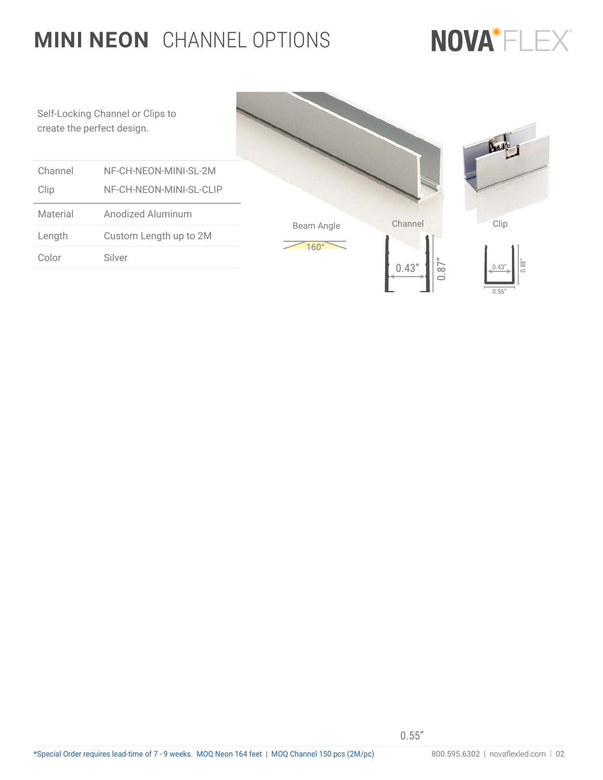### **MINI NEON** CHANNEL OPTIONS

# NOVA<sup>\*</sup>FLEX®

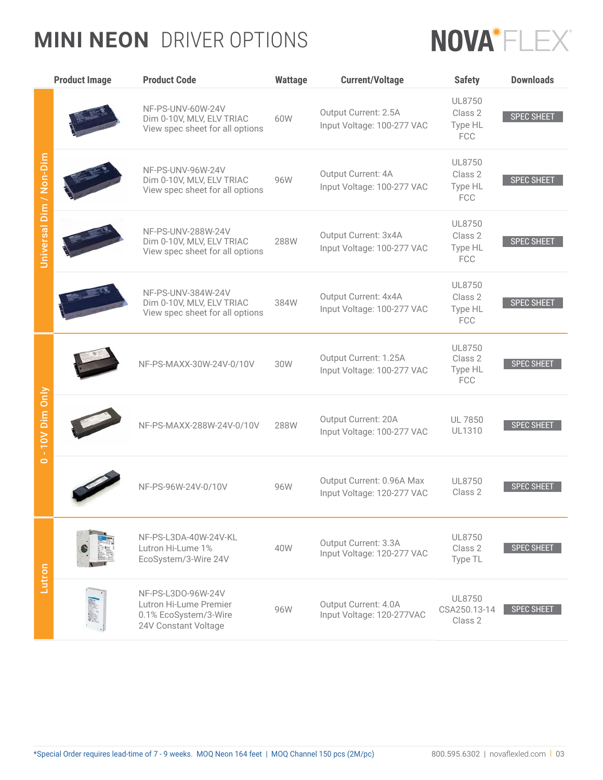### **MINI NEON** DRIVER OPTIONS



|                                         | <b>Product Image</b> | <b>Product Code</b>                                                                           | <b>Wattage</b> | <b>Current/Voltage</b>                                  | <b>Safety</b>                               | <b>Downloads</b>  |
|-----------------------------------------|----------------------|-----------------------------------------------------------------------------------------------|----------------|---------------------------------------------------------|---------------------------------------------|-------------------|
| Universal Dim / Non-Dim                 |                      | NF-PS-UNV-60W-24V<br>Dim 0-10V, MLV, ELV TRIAC<br>View spec sheet for all options             | 60W            | Output Current: 2.5A<br>Input Voltage: 100-277 VAC      | UL8750<br>Class 2<br>Type HL<br>FCC         | <b>SPEC SHEET</b> |
|                                         |                      | NF-PS-UNV-96W-24V<br>Dim 0-10V, MLV, ELV TRIAC<br>View spec sheet for all options             | 96W            | Output Current: 4A<br>Input Voltage: 100-277 VAC        | UL8750<br>Class 2<br>Type HL<br><b>FCC</b>  | <b>SPEC SHEET</b> |
|                                         |                      | NF-PS-UNV-288W-24V<br>Dim 0-10V, MLV, ELV TRIAC<br>View spec sheet for all options            | 288W           | Output Current: 3x4A<br>Input Voltage: 100-277 VAC      | UL8750<br>Class 2<br>Type HL<br><b>FCC</b>  | <b>SPEC SHEET</b> |
|                                         |                      | NF-PS-UNV-384W-24V<br>Dim 0-10V, MLV, ELV TRIAC<br>View spec sheet for all options            | 384W           | Output Current: 4x4A<br>Input Voltage: 100-277 VAC      | UL8750<br>Class 2<br>Type HL<br><b>FCC</b>  | <b>SPEC SHEET</b> |
| 10V Dim Only<br>$\mathbf{r}$<br>$\circ$ |                      | NF-PS-MAXX-30W-24V-0/10V                                                                      | 30W            | Output Current: 1.25A<br>Input Voltage: 100-277 VAC     | UI 8750<br>Class 2<br>Type HL<br><b>FCC</b> | <b>SPEC SHEET</b> |
|                                         |                      | NF-PS-MAXX-288W-24V-0/10V                                                                     | 288W           | Output Current: 20A<br>Input Voltage: 100-277 VAC       | <b>UL 7850</b><br><b>UL1310</b>             | <b>SPEC SHEET</b> |
|                                         |                      | NF-PS-96W-24V-0/10V                                                                           | 96W            | Output Current: 0.96A Max<br>Input Voltage: 120-277 VAC | UL8750<br>Class 2                           | <b>SPEC SHEET</b> |
| Lutron                                  |                      | NF-PS-L3DA-40W-24V-KL<br>Lutron Hi-Lume 1%<br>EcoSystem/3-Wire 24V                            | 40W            | Output Current: 3.3A<br>Input Voltage: 120-277 VAC      | UL8750<br>Class 2<br>Type TL                | <b>SPEC SHEET</b> |
|                                         |                      | NF-PS-L3D0-96W-24V<br>Lutron Hi-Lume Premier<br>0.1% EcoSystem/3-Wire<br>24V Constant Voltage | 96W            | Output Current: 4.0A<br>Input Voltage: 120-277VAC       | UL8750<br>CSA250.13-14<br>Class 2           | <b>SPEC SHEET</b> |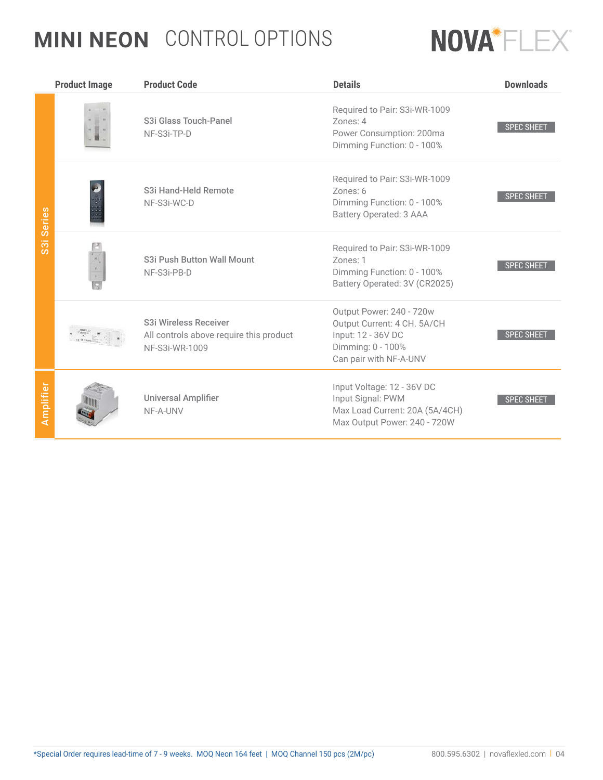### **MINI NEON** CONTROL OPTIONS



|                                      | <b>Product Image</b> | <b>Product Code</b>                                                                | <b>Details</b>                                                                                                               | <b>Downloads</b>  |
|--------------------------------------|----------------------|------------------------------------------------------------------------------------|------------------------------------------------------------------------------------------------------------------------------|-------------------|
| <b>Series</b>                        |                      | S3i Glass Touch-Panel<br>NF-S3i-TP-D                                               | Required to Pair: S3i-WR-1009<br>Zones: 4<br>Power Consumption: 200ma<br>Dimming Function: 0 - 100%                          | <b>SPEC SHEET</b> |
|                                      |                      | S3i Hand-Held Remote<br>NF-S3i-WC-D                                                | Required to Pair: S3i-WR-1009<br>Zones: 6<br>Dimming Function: 0 - 100%<br>Battery Operated: 3 AAA                           | <b>SPEC SHEET</b> |
| $\overline{\overline{\overline{3}}}$ |                      | S3i Push Button Wall Mount<br>NF-S3i-PB-D                                          | Required to Pair: S3i-WR-1009<br>Zones: 1<br>Dimming Function: 0 - 100%<br>Battery Operated: 3V (CR2025)                     | <b>SPEC SHEET</b> |
|                                      |                      | S3i Wireless Receiver<br>All controls above require this product<br>NF-S3i-WR-1009 | Output Power: 240 - 720w<br>Output Current: 4 CH. 5A/CH<br>Input: 12 - 36V DC<br>Dimming: 0 - 100%<br>Can pair with NF-A-UNV | <b>SPEC SHEET</b> |
| Amplifier                            |                      | <b>Universal Amplifier</b><br>NF-A-UNV                                             | Input Voltage: 12 - 36V DC<br>Input Signal: PWM<br>Max Load Current: 20A (5A/4CH)<br>Max Output Power: 240 - 720W            | <b>SPEC SHEET</b> |